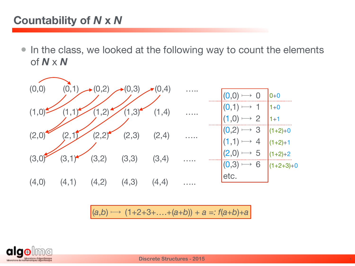## **Countability of** *N* **x** *N*

• In the class, we looked at the following way to count the elements of *N* x *N*



 $(a,b) \mapsto (1+2+3+\ldots+(a+b)) + a =: f(a+b)+a$